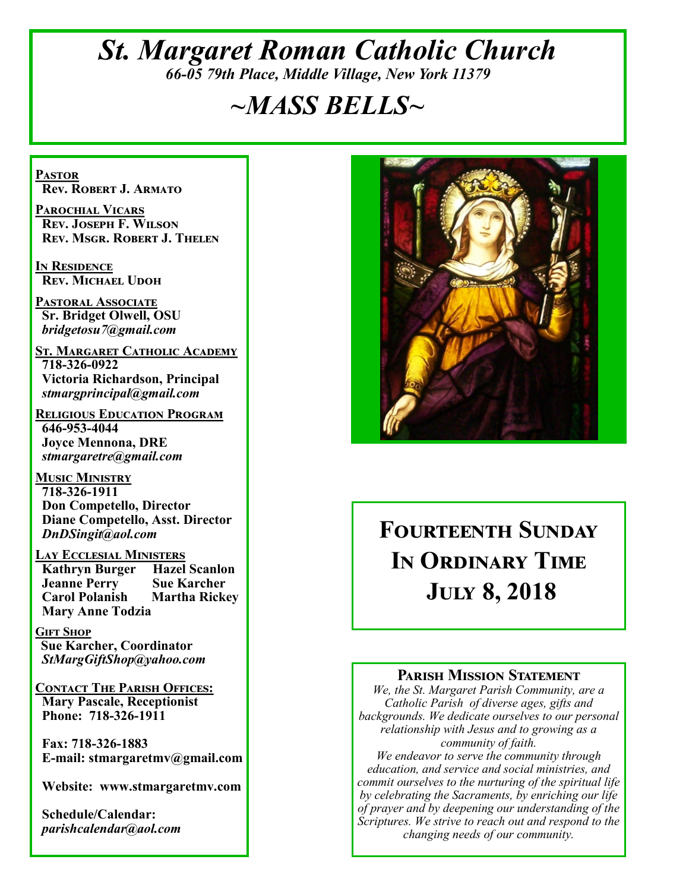# *St. Margaret Roman Catholic Church 66-05 79th Place, Middle Village, New York 11379*

# *~MASS BELLS~*

**Pastor Rev. Robert J. Armato**

**Parochial Vicars Rev. Joseph F. Wilson Rev. Msgr. Robert J. Thelen**

**In Residence Rev. Michael Udoh**

**Pastoral Associate Sr. Bridget Olwell, OSU**  *bridgetosu7@gmail.com*

**St. Margaret Catholic Academy 718-326-0922 Victoria Richardson, Principal**  *stmargprincipal@gmail.com*

**Religious Education Program 646-953-4044 Joyce Mennona, DRE** *stmargaretre@gmail.com*

**Music Ministry 718-326-1911 Don Competello, Director Diane Competello, Asst. Director** *DnDSingit@aol.com*

**Lay Ecclesial Ministers Kathryn Burger Jeanne Perry Sue Karcher Carol Polanish Martha Rickey Mary Anne Todzia**

**Gift Shop Sue Karcher, Coordinator** *StMargGiftShop@yahoo.com*

**Contact The Parish Offices: Mary Pascale, Receptionist Phone: 718-326-1911** 

 **Fax: 718-326-1883 E-mail: stmargaretmv@gmail.com**

 **Website: www.stmargaretmv.com**

 **Schedule/Calendar:** *parishcalendar@aol.com* 



# **Fourteenth Sunday In Ordinary Time July 8, 2018**

#### **Parish Mission Statement**

*We, the St. Margaret Parish Community, are a Catholic Parish of diverse ages, gifts and backgrounds. We dedicate ourselves to our personal relationship with Jesus and to growing as a community of faith.*

*We endeavor to serve the community through education, and service and social ministries, and commit ourselves to the nurturing of the spiritual life by celebrating the Sacraments, by enriching our life of prayer and by deepening our understanding of the Scriptures. We strive to reach out and respond to the changing needs of our community.*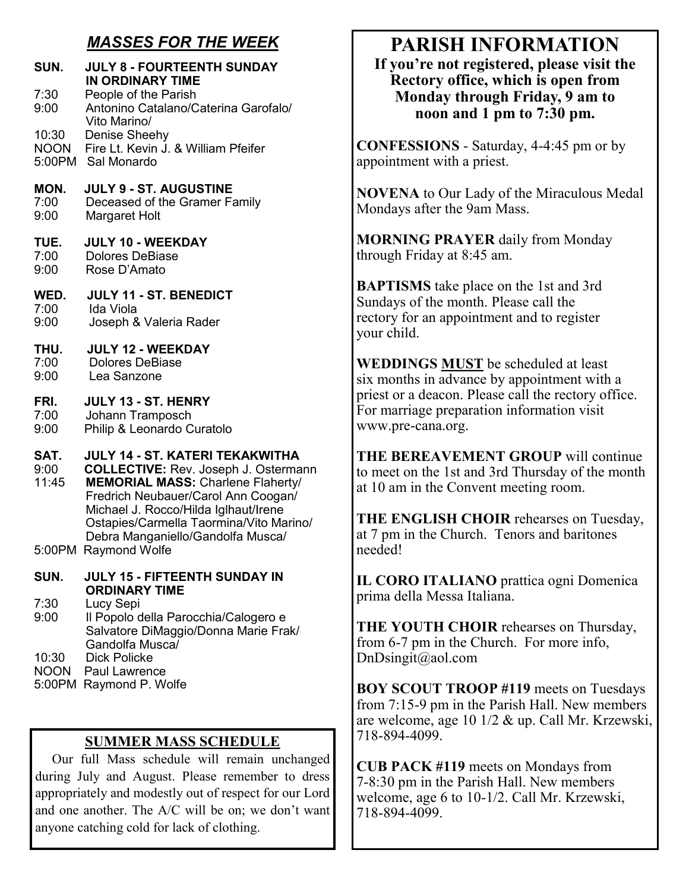# *MASSES FOR THE WEEK*

| SUN.                  | <b>JULY 8 - FOURTEENTH SUNDAY</b><br>IN ORDINARY TIME                                                                                                                                                                                                                                            |
|-----------------------|--------------------------------------------------------------------------------------------------------------------------------------------------------------------------------------------------------------------------------------------------------------------------------------------------|
| 7:30<br>9:00          | People of the Parish<br>Antonino Catalano/Caterina Garofalo/<br>Vito Marino/                                                                                                                                                                                                                     |
| 10:30                 | Denise Sheehy                                                                                                                                                                                                                                                                                    |
| <b>NOON</b>           | Fire Lt. Kevin J. & William Pfeifer                                                                                                                                                                                                                                                              |
| 5:00PM                | Sal Monardo                                                                                                                                                                                                                                                                                      |
| MON.                  | <b>JULY 9 - ST. AUGUSTINE</b>                                                                                                                                                                                                                                                                    |
| 7:00                  | Deceased of the Gramer Family                                                                                                                                                                                                                                                                    |
| 9:00                  | Margaret Holt                                                                                                                                                                                                                                                                                    |
| TUE.                  | <b>JULY 10 - WEEKDAY</b>                                                                                                                                                                                                                                                                         |
| 7:00                  | <b>Dolores DeBiase</b>                                                                                                                                                                                                                                                                           |
| 9:00                  | Rose D'Amato                                                                                                                                                                                                                                                                                     |
| WED.                  | JULY 11 - ST. BENEDICT                                                                                                                                                                                                                                                                           |
| 7:00                  | Ida Viola                                                                                                                                                                                                                                                                                        |
| 9:00                  | Joseph & Valeria Rader                                                                                                                                                                                                                                                                           |
| THU.                  | <b>JULY 12 - WEEKDAY</b>                                                                                                                                                                                                                                                                         |
| 7:00                  | <b>Dolores DeBiase</b>                                                                                                                                                                                                                                                                           |
| 9:00                  | Lea Sanzone                                                                                                                                                                                                                                                                                      |
| FRI.                  | JULY 13 - ST. HENRY                                                                                                                                                                                                                                                                              |
| 7:00                  | Johann Tramposch                                                                                                                                                                                                                                                                                 |
| 9:00                  | Philip & Leonardo Curatolo                                                                                                                                                                                                                                                                       |
| SAT.<br>9:00<br>11:45 | <b>JULY 14 - ST. KATERI TEKAKWITHA</b><br><b>COLLECTIVE: Rev. Joseph J. Ostermann</b><br><b>MEMORIAL MASS: Charlene Flaherty/</b><br>Fredrich Neubauer/Carol Ann Coogan/<br>Michael J. Rocco/Hilda Iglhaut/Irene<br>Ostapies/Carmella Taormina/Vito Marino/<br>Debra Manganiello/Gandolfa Musca/ |
| SUN.                  | 5:00PM Raymond Wolfe<br><b>JULY 15 - FIFTEENTH SUNDAY IN</b>                                                                                                                                                                                                                                     |
| 7:30<br>9:00          | <b>ORDINARY TIME</b><br>Lucy Sepi<br>Il Popolo della Parocchia/Calogero e<br>Salvatore DiMaggio/Donna Marie Frak/<br>Gandolfa Musca/                                                                                                                                                             |
| 10:30                 | <b>Dick Policke</b>                                                                                                                                                                                                                                                                              |
| <b>NOON</b>           | Paul Lawrence                                                                                                                                                                                                                                                                                    |
| 5:00PM                | Raymond P. Wolfe                                                                                                                                                                                                                                                                                 |

## **SUMMER MASS SCHEDULE**

 Our full Mass schedule will remain unchanged during July and August. Please remember to dress appropriately and modestly out of respect for our Lord and one another. The A/C will be on; we don't want anyone catching cold for lack of clothing.

# **PARISH INFORMATION**

**If you're not registered, please visit the Rectory office, which is open from Monday through Friday, 9 am to noon and 1 pm to 7:30 pm.**

**CONFESSIONS** - Saturday, 4-4:45 pm or by appointment with a priest.

**NOVENA** to Our Lady of the Miraculous Medal Mondays after the 9am Mass.

**MORNING PRAYER** daily from Monday through Friday at 8:45 am.

**BAPTISMS** take place on the 1st and 3rd Sundays of the month. Please call the rectory for an appointment and to register your child.

**WEDDINGS MUST** be scheduled at least six months in advance by appointment with a priest or a deacon. Please call the rectory office. For marriage preparation information visit www.pre-cana.org.

**THE BEREAVEMENT GROUP** will continue to meet on the 1st and 3rd Thursday of the month at 10 am in the Convent meeting room.

**THE ENGLISH CHOIR** rehearses on Tuesday, at 7 pm in the Church. Tenors and baritones needed!

**IL CORO ITALIANO** prattica ogni Domenica prima della Messa Italiana.

**THE YOUTH CHOIR** rehearses on Thursday, from 6-7 pm in the Church. For more info, DnDsingit@aol.com

**BOY SCOUT TROOP #119** meets on Tuesdays from 7:15-9 pm in the Parish Hall. New members are welcome, age 10 1/2 & up. Call Mr. Krzewski, 718-894-4099.

**CUB PACK #119** meets on Mondays from 7-8:30 pm in the Parish Hall. New members welcome, age 6 to 10-1/2. Call Mr. Krzewski, 718-894-4099.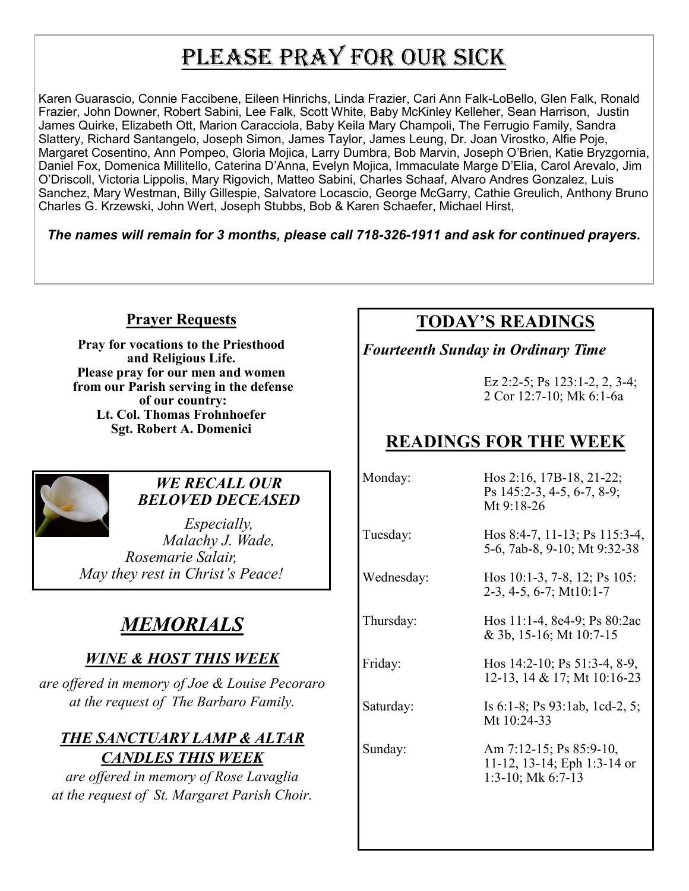# PLEASE PRAY FOR OUR SICK

Karen Guarascio, Connie Faccibene, Eileen Hinrichs, Linda Frazier, Cari Ann Falk-LoBello, Glen Falk, Ronald Frazier, John Downer, Robert Sabini, Lee Falk, Scott White, Baby McKinley Kelleher, Sean Harrison, Justin James Quirke, Elizabeth Ott, Marion Caracciola, Baby Keila Mary Champoli, The Ferrugio Family, Sandra Slattery, Richard Santangelo, Joseph Simon, James Taylor, James Leung, Dr. Joan Virostko, Alfie Poje, Margaret Cosentino, Ann Pompeo, Gloria Mojica, Larry Dumbra, Bob Marvin, Joseph O'Brien, Katie Bryzgornia, Daniel Fox, Domenica Millitello, Caterina D'Anna, Evelyn Mojica, Immaculate Marge D'Elia, Carol Arevalo, Jim O'Driscoll, Victoria Lippolis, Mary Rigovich, Matteo Sabini, Charles Schaaf, Alvaro Andres Gonzalez, Luis Sanchez, Mary Westman, Billy Gillespie, Salvatore Locascio, George McGarry, Cathie Greulich, Anthony Bruno Charles G. Krzewski, John Wert, Joseph Stubbs, Bob & Karen Schaefer, Michael Hirst,

*The names will remain for 3 months, please call 718-326-1911 and ask for continued prayers.*

## **Prayer Requests**

**Pray for vocations to the Priesthood and Religious Life. Please pray for our men and women from our Parish serving in the defense of our country: Lt. Col. Thomas Frohnhoefer Sgt. Robert A. Domenici** 



### *WE RECALL OUR BELOVED DECEASED*

*Especially, Malachy J. Wade, Rosemarie Salair, May they rest in Christ's Peace!*

# *MEMORIALS*

# *WINE & HOST THIS WEEK*

*are offered in memory of Joe & Louise Pecoraro at the request of The Barbaro Family.* 

# *THE SANCTUARY LAMP & ALTAR CANDLES THIS WEEK*

*are offered in memory of Rose Lavaglia at the request of St. Margaret Parish Choir.* 

# **TODAY'S READINGS**

# *Fourteenth Sunday in Ordinary Time*

Ez 2:2-5; Ps 123:1-2, 2, 3-4; 2 Cor 12:7-10; Mk 6:1-6a

# **READINGS FOR THE WEEK**

Monday: Hos 2:16, 17B-18, 21-22; Ps 145:2-3, 4-5, 6-7, 8-9; Mt 9:18-26 Tuesday: Hos 8:4-7, 11-13; Ps 115:3-4, 5-6, 7ab-8, 9-10; Mt 9:32-38 Wednesday: Hos 10:1-3, 7-8, 12; Ps 105: 2-3, 4-5, 6-7; Mt10:1-7 Thursday: Hos 11:1-4, 8e4-9; Ps 80:2ac & 3b, 15-16; Mt 10:7-15 Friday: Hos 14:2-10; Ps 51:3-4, 8-9, 12-13, 14 & 17; Mt 10:16-23 Saturday: Is 6:1-8; Ps 93:1ab, 1cd-2, 5; Mt 10:24-33 Sunday: Am 7:12-15; Ps 85:9-10, 11-12, 13-14; Eph 1:3-14 or 1:3-10; Mk 6:7-13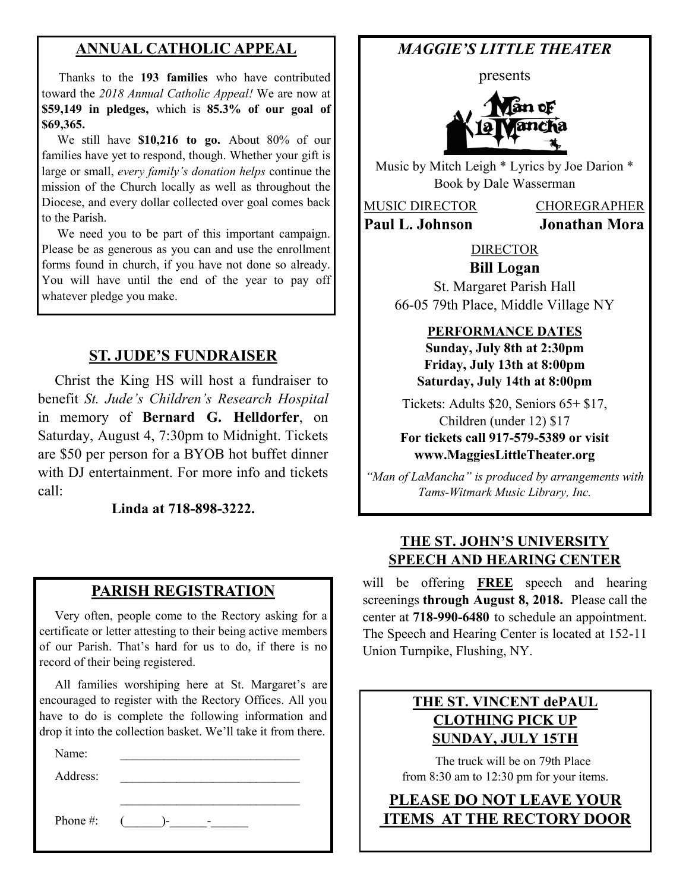# **ANNUAL CATHOLIC APPEAL**

 Thanks to the **193 families** who have contributed toward the *2018 Annual Catholic Appeal!* We are now at **\$59,149 in pledges,** which is **85.3% of our goal of \$69,365.** 

We still have \$10,216 to go. About 80% of our families have yet to respond, though. Whether your gift is large or small, *every family's donation helps* continue the mission of the Church locally as well as throughout the Diocese, and every dollar collected over goal comes back to the Parish.

 We need you to be part of this important campaign. Please be as generous as you can and use the enrollment forms found in church, if you have not done so already. You will have until the end of the year to pay off whatever pledge you make.

## **ST. JUDE'S FUNDRAISER**

 Christ the King HS will host a fundraiser to benefit *St. Jude's Children's Research Hospital*  in memory of **Bernard G. Helldorfer**, on Saturday, August 4, 7:30pm to Midnight. Tickets are \$50 per person for a BYOB hot buffet dinner with DJ entertainment. For more info and tickets call:

**Linda at 718-898-3222.**

#### **PARISH REGISTRATION**

 Very often, people come to the Rectory asking for a certificate or letter attesting to their being active members of our Parish. That's hard for us to do, if there is no record of their being registered.

 All families worshiping here at St. Margaret's are encouraged to register with the Rectory Offices. All you have to do is complete the following information and drop it into the collection basket. We'll take it from there.

 $\mathcal{L}_\text{max}$  , where  $\mathcal{L}_\text{max}$  , we have the set of  $\mathcal{L}_\text{max}$ 

Name:

Address:

Phone #:  $($  )-  $-$ 

# *MAGGIE'S LITTLE THEATER*

presents



Music by Mitch Leigh \* Lyrics by Joe Darion \* Book by Dale Wasserman

MUSIC DIRECTOR CHOREGRAPHER **Paul L. Johnson Jonathan Mora**

#### DIRECTOR **Bill Logan**

St. Margaret Parish Hall 66-05 79th Place, Middle Village NY

#### **PERFORMANCE DATES**

**Sunday, July 8th at 2:30pm Friday, July 13th at 8:00pm Saturday, July 14th at 8:00pm**

Tickets: Adults \$20, Seniors 65+ \$17, Children (under 12) \$17 **For tickets call 917-579-5389 or visit www.MaggiesLittleTheater.org**

*"Man of LaMancha" is produced by arrangements with Tams-Witmark Music Library, Inc.*

#### **THE ST. JOHN'S UNIVERSITY SPEECH AND HEARING CENTER**

will be offering **FREE** speech and hearing screenings **through August 8, 2018.** Please call the center at **718-990-6480** to schedule an appointment. The Speech and Hearing Center is located at 152-11 Union Turnpike, Flushing, NY.

## **THE ST. VINCENT dePAUL CLOTHING PICK UP SUNDAY, JULY 15TH**

 The truck will be on 79th Place from 8:30 am to 12:30 pm for your items.

**PLEASE DO NOT LEAVE YOUR ITEMS AT THE RECTORY DOOR**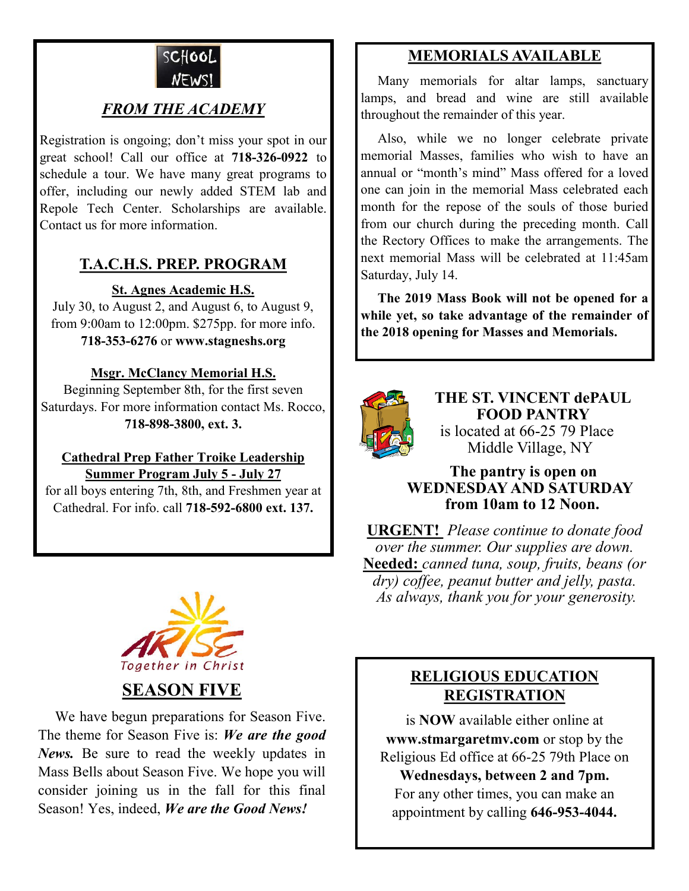

# *FROM THE ACADEMY*

Registration is ongoing; don't miss your spot in our great school! Call our office at **718-326-0922** to schedule a tour. We have many great programs to offer, including our newly added STEM lab and Repole Tech Center. Scholarships are available. Contact us for more information.

# **T.A.C.H.S. PREP. PROGRAM**

**St. Agnes Academic H.S.**

July 30, to August 2, and August 6, to August 9, from 9:00am to 12:00pm. \$275pp. for more info. **718-353-6276** or **www.stagneshs.org**

#### **Msgr. McClancy Memorial H.S.**

Beginning September 8th, for the first seven Saturdays. For more information contact Ms. Rocco, **718-898-3800, ext. 3.**

#### **Cathedral Prep Father Troike Leadership Summer Program July 5 - July 27**

for all boys entering 7th, 8th, and Freshmen year at Cathedral. For info. call **718-592-6800 ext. 137.**



**SEASON FIVE**

 We have begun preparations for Season Five. The theme for Season Five is: *We are the good News.* Be sure to read the weekly updates in Mass Bells about Season Five. We hope you will consider joining us in the fall for this final Season! Yes, indeed, *We are the Good News!*

# **MEMORIALS AVAILABLE**

Many memorials for altar lamps, sanctuary lamps, and bread and wine are still available throughout the remainder of this year.

 Also, while we no longer celebrate private memorial Masses, families who wish to have an annual or "month's mind" Mass offered for a loved one can join in the memorial Mass celebrated each month for the repose of the souls of those buried from our church during the preceding month. Call the Rectory Offices to make the arrangements. The next memorial Mass will be celebrated at 11:45am Saturday, July 14.

 **The 2019 Mass Book will not be opened for a while yet, so take advantage of the remainder of the 2018 opening for Masses and Memorials.**



**THE ST. VINCENT dePAUL FOOD PANTRY** is located at 66-25 79 Place Middle Village, NY

#### **The pantry is open on WEDNESDAY AND SATURDAY from 10am to 12 Noon.**

**URGENT!** *Please continue to donate food over the summer. Our supplies are down.*  **Needed:** *canned tuna, soup, fruits, beans (or dry) coffee, peanut butter and jelly, pasta. As always, thank you for your generosity.*

# **RELIGIOUS EDUCATION REGISTRATION**

is **NOW** available either online at **www.stmargaretmv.com** or stop by the Religious Ed office at 66-25 79th Place on

**Wednesdays, between 2 and 7pm.** For any other times, you can make an appointment by calling **646-953-4044.**